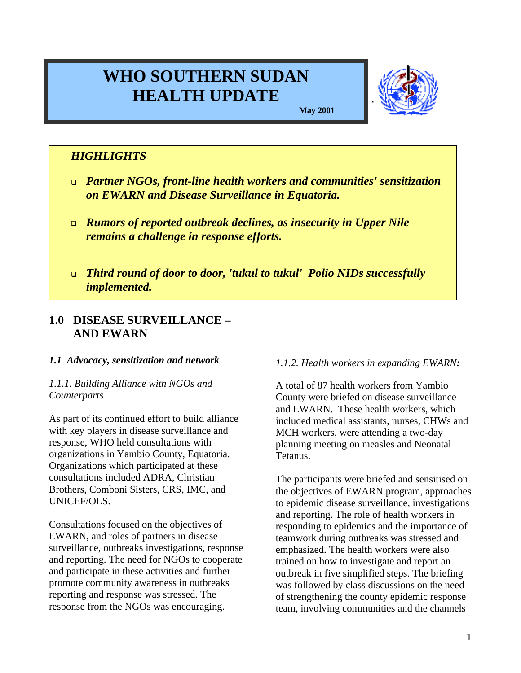# **WHO SOUTHERN SUDAN HEALTH UPDATE**



**May 2001**

# *HIGHLIGHTS*

- <sup>q</sup> *Partner NGOs, front-line health workers and communities' sensitization on EWARN and Disease Surveillance in Equatoria.*
- <sup>q</sup> *Rumors of reported outbreak declines, as insecurity in Upper Nile remains a challenge in response efforts.*
- <sup>q</sup> *Third round of door to door, 'tukul to tukul' Polio NIDs successfully implemented.*

# **1.0 DISEASE SURVEILLANCE – AND EWARN**

## *1.1 Advocacy, sensitization and network*

## *1.1.1. Building Alliance with NGOs and Counterparts*

As part of its continued effort to build alliance with key players in disease surveillance and response, WHO held consultations with organizations in Yambio County, Equatoria. Organizations which participated at these consultations included ADRA, Christian Brothers, Comboni Sisters, CRS, IMC, and UNICEF/OLS.

Consultations focused on the objectives of EWARN, and roles of partners in disease surveillance, outbreaks investigations, response and reporting. The need for NGOs to cooperate and participate in these activities and further promote community awareness in outbreaks reporting and response was stressed. The response from the NGOs was encouraging.

## *1.1.2. Health workers in expanding EWARN:*

A total of 87 health workers from Yambio County were briefed on disease surveillance and EWARN. These health workers, which included medical assistants, nurses, CHWs and MCH workers, were attending a two-day planning meeting on measles and Neonatal Tetanus.

The participants were briefed and sensitised on the objectives of EWARN program, approaches to epidemic disease surveillance, investigations and reporting. The role of health workers in responding to epidemics and the importance of teamwork during outbreaks was stressed and emphasized. The health workers were also trained on how to investigate and report an outbreak in five simplified steps. The briefing was followed by class discussions on the need of strengthening the county epidemic response team, involving communities and the channels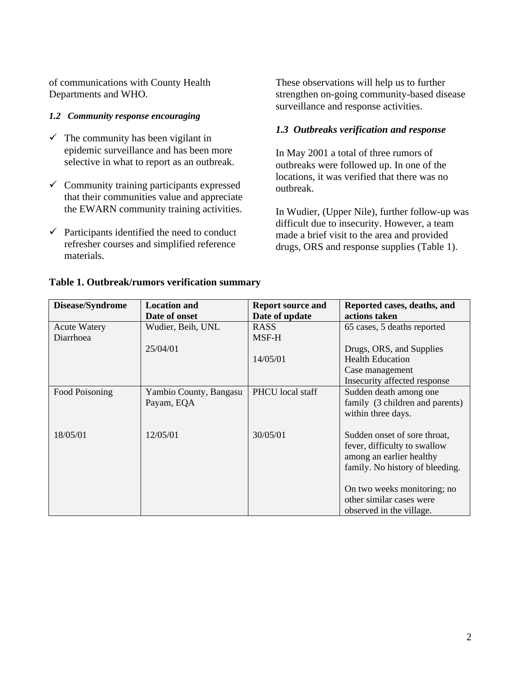of communications with County Health Departments and WHO.

#### *1.2 Community response encouraging*

- $\checkmark$  The community has been vigilant in epidemic surveillance and has been more selective in what to report as an outbreak.
- $\checkmark$  Community training participants expressed that their communities value and appreciate the EWARN community training activities.
- $\checkmark$  Participants identified the need to conduct refresher courses and simplified reference materials.

These observations will help us to further strengthen on-going community-based disease surveillance and response activities.

### *1.3 Outbreaks verification and response*

In May 2001 a total of three rumors of outbreaks were followed up. In one of the locations, it was verified that there was no outbreak.

In Wudier, (Upper Nile), further follow-up was difficult due to insecurity. However, a team made a brief visit to the area and provided drugs, ORS and response supplies (Table 1).

| Disease/Syndrome    | <b>Location and</b>    | <b>Report source and</b> | Reported cases, deaths, and     |
|---------------------|------------------------|--------------------------|---------------------------------|
|                     | Date of onset          | Date of update           | actions taken                   |
| <b>Acute Watery</b> | Wudier, Beih, UNL      | <b>RASS</b>              | 65 cases, 5 deaths reported     |
| Diarrhoea           |                        | MSF-H                    |                                 |
|                     | 25/04/01               |                          | Drugs, ORS, and Supplies        |
|                     |                        | 14/05/01                 | <b>Health Education</b>         |
|                     |                        |                          | Case management                 |
|                     |                        |                          | Insecurity affected response    |
| Food Poisoning      | Yambio County, Bangasu | PHCU local staff         | Sudden death among one          |
|                     | Payam, EQA             |                          | family (3 children and parents) |
|                     |                        |                          | within three days.              |
|                     |                        |                          |                                 |
| 18/05/01            | 12/05/01               | 30/05/01                 | Sudden onset of sore throat,    |
|                     |                        |                          | fever, difficulty to swallow    |
|                     |                        |                          | among an earlier healthy        |
|                     |                        |                          | family. No history of bleeding. |
|                     |                        |                          |                                 |
|                     |                        |                          | On two weeks monitoring; no     |
|                     |                        |                          | other similar cases were        |
|                     |                        |                          | observed in the village.        |

#### **Table 1. Outbreak/rumors verification summary**